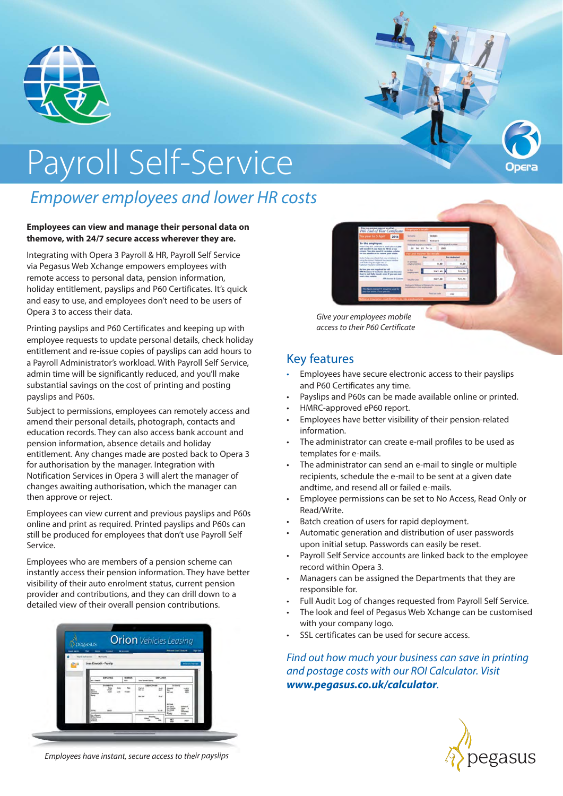

# Payroll Self-Service

## *Empower employees and lower HR costs*

#### **Employees can view and manage their personal data on themove, with 24/7 secure access wherever they are.**

Integrating with Opera 3 Payroll & HR, Payroll Self Service via Pegasus Web Xchange empowers employees with remote access to personal data, pension information, holiday entitlement, payslips and P60 Certificates. It's quick and easy to use, and employees don't need to be users of Opera 3 to access their data.

Printing payslips and P60 Certificates and keeping up with employee requests to update personal details, check holiday entitlement and re-issue copies of payslips can add hours to a Payroll Administrator's workload. With Payroll Self Service, admin time will be significantly reduced, and you'll make substantial savings on the cost of printing and posting payslips and P60s.

Subject to permissions, employees can remotely access and amend their personal details, photograph, contacts and education records. They can also access bank account and pension information, absence details and holiday entitlement. Any changes made are posted back to Opera 3 for authorisation by the manager. Integration with Notification Services in Opera 3 will alert the manager of changes awaiting authorisation, which the manager can then approve or reject.

Employees can view current and previous payslips and P60s online and print as required. Printed payslips and P60s can still be produced for employees that don't use Payroll Self Service.

Employees who are members of a pension scheme can instantly access their pension information. They have better visibility of their auto enrolment status, current pension provider and contributions, and they can drill down to a detailed view of their overall pension contributions.



*Give your employees mobile access to their P60 Certificate*

#### Key features

- Employees have secure electronic access to their payslips and P60 Certificates any time.
- Payslips and P60s can be made available online or printed.
- HMRC-approved eP60 report.
- Employees have better visibility of their pension-related information.
- The administrator can create e-mail profiles to be used as templates for e-mails.
- The administrator can send an e-mail to single or multiple recipients, schedule the e-mail to be sent at a given date andtime, and resend all or failed e-mails.
- Employee permissions can be set to No Access, Read Only or Read/Write.
- Batch creation of users for rapid deployment.
- Automatic generation and distribution of user passwords upon initial setup. Passwords can easily be reset.
- Payroll Self Service accounts are linked back to the employee record within Opera 3.
- Managers can be assigned the Departments that they are responsible for.
- Full Audit Log of changes requested from Payroll Self Service.
- The look and feel of Pegasus Web Xchange can be customised with your company logo.
- SSL certificates can be used for secure access.

*Find out how much your business can save in printing and postage costs with our ROI Calculator. Visit www.pegasus.co.uk/calculator.*



*Employees have instant, secure access to their payslips*